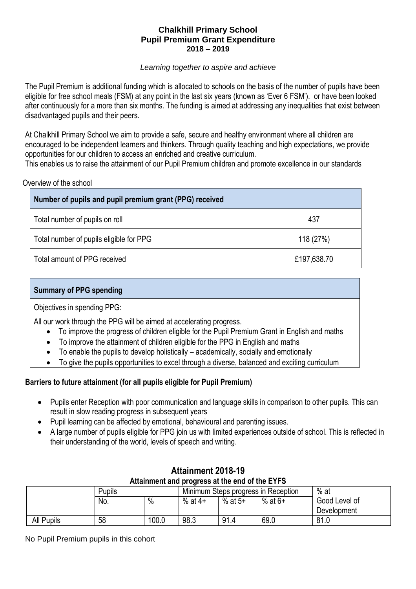## **Chalkhill Primary School Pupil Premium Grant Expenditure 2018 – 2019**

#### *Learning together to aspire and achieve*

The Pupil Premium is additional funding which is allocated to schools on the basis of the number of pupils have been eligible for free school meals (FSM) at any point in the last six years (known as 'Ever 6 FSM'). or have been looked after continuously for a more than six months. The funding is aimed at addressing any inequalities that exist between disadvantaged pupils and their peers.

At Chalkhill Primary School we aim to provide a safe, secure and healthy environment where all children are encouraged to be independent learners and thinkers. Through quality teaching and high expectations, we provide opportunities for our children to access an enriched and creative curriculum.

This enables us to raise the attainment of our Pupil Premium children and promote excellence in our standards

| Number of pupils and pupil premium grant (PPG) received |             |  |  |  |
|---------------------------------------------------------|-------------|--|--|--|
| Total number of pupils on roll                          | 437         |  |  |  |
| Total number of pupils eligible for PPG                 | 118 (27%)   |  |  |  |
| Total amount of PPG received                            | £197,638.70 |  |  |  |

## **Summary of PPG spending**

Objectives in spending PPG:

All our work through the PPG will be aimed at accelerating progress.

- To improve the progress of children eligible for the Pupil Premium Grant in English and maths
- To improve the attainment of children eligible for the PPG in English and maths
- $\bullet$  To enable the pupils to develop holistically academically, socially and emotionally
- To give the pupils opportunities to excel through a diverse, balanced and exciting curriculum

## **Barriers to future attainment (for all pupils eligible for Pupil Premium)**

- Pupils enter Reception with poor communication and language skills in comparison to other pupils. This can result in slow reading progress in subsequent years
- Pupil learning can be affected by emotional, behavioural and parenting issues.
- A large number of pupils eligible for PPG join us with limited experiences outside of school. This is reflected in their understanding of the world, levels of speech and writing.

| Attainment and progress at the end of the EYFS |               |                                     |           |         |           |               |
|------------------------------------------------|---------------|-------------------------------------|-----------|---------|-----------|---------------|
|                                                | <b>Pupils</b> | Minimum Steps progress in Reception |           |         | % at      |               |
|                                                | No.           | $\%$                                | % at $4+$ | % at 5+ | $%$ at 6+ | Good Level of |
|                                                |               |                                     |           |         |           | Development   |
| <b>All Pupils</b>                              | 58            | 100.0                               | 98.3      | 91.4    | 69.0      | 81.0          |

## **Attainment 2018-19 Attainment and progress at the end of the EYFS**

No Pupil Premium pupils in this cohort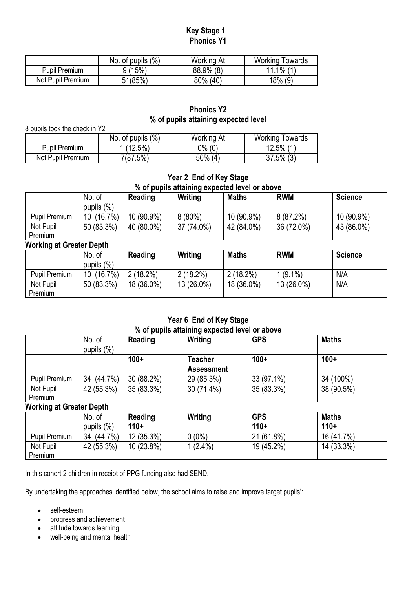## **Key Stage 1 Phonics Y1**

|                   | No. of pupils $(\%)$ | <b>Working At</b> | <b>Working Towards</b> |
|-------------------|----------------------|-------------------|------------------------|
| Pupil Premium     | 9 (15%)              | 88.9% (8)         | $11.1\%$ (1)           |
| Not Pupil Premium | 51(85%)              | 80% (40)          | 18% (9)                |

## **Phonics Y2 % of pupils attaining expected level**

8 pupils took the check in Y2

|                   | No. of pupils $(\%)$ | <b>Working At</b> | Working Towards |
|-------------------|----------------------|-------------------|-----------------|
| Pupil Premium     | $(12.5\%)$           | 0% (0)            | $12.5\%$ (1)    |
| Not Pupil Premium | 7(87.5%)             | 50%<br>(4)        | $37.5\%$ (3)    |

# **Year 2 End of Key Stage % of pupils attaining expected level or above**

|                          | No. of        | Reading    | Writing    | <b>Maths</b> | <b>RWM</b> | <b>Science</b> |
|--------------------------|---------------|------------|------------|--------------|------------|----------------|
|                          | pupils $(\%)$ |            |            |              |            |                |
| <b>Pupil Premium</b>     | (16.7%)<br>10 | 10 (90.9%) | $8(80\%)$  | 10 (90.9%)   | 8(87.2%)   | 10 (90.9%)     |
| Not Pupil                | 50 (83.3%)    | 40 (80.0%) | 37 (74.0%) | 42 (84.0%)   | 36 (72.0%) | 43 (86.0%)     |
| Premium                  |               |            |            |              |            |                |
| Working at Greater Denth |               |            |            |              |            |                |

|               | $\cdots$         |             |             |              |            |                |  |
|---------------|------------------|-------------|-------------|--------------|------------|----------------|--|
|               | No. of           | Reading     | Writing     | <b>Maths</b> | <b>RWM</b> | <b>Science</b> |  |
|               | pupils $(\%)$    |             |             |              |            |                |  |
| Pupil Premium | $(16.7\%)$<br>10 | $2(18.2\%)$ | $2(18.2\%)$ | 2 (18.2%)    | 1 (9.1%)   | N/A            |  |
| Not Pupil     | 50 (83.3%)       | 18 (36.0%)  | 13 (26.0%)  | 18 (36.0%)   | 13 (26.0%) | N/A            |  |
| Premium       |                  |             |             |              |            |                |  |

## **Year 6 End of Key Stage % of pupils attaining expected level or above**

|                      | No. of<br>pupils $(\%)$ | Reading    | Writing                      | <b>GPS</b> | <b>Maths</b> |
|----------------------|-------------------------|------------|------------------------------|------------|--------------|
|                      |                         | $100+$     | Teacher<br><b>Assessment</b> | $100+$     | $100+$       |
| Pupil Premium        | $(44.7\%)$<br>34        | 30 (88.2%) | 29 (85.3%)                   | 33 (97.1%) | 34 (100%)    |
| Not Pupil<br>Premium | 42 (55.3%)              | 35 (83.3%) | 30 (71.4%)                   | 35 (83.3%) | 38 (90.5%)   |

## **Working at Greater Depth**

|                      | No. of<br>pupils $(\%)$ | <b>Reading</b><br>$110+$ | Writing    | <b>GPS</b><br>$110+$ | <b>Maths</b><br>$110+$ |
|----------------------|-------------------------|--------------------------|------------|----------------------|------------------------|
| <b>Pupil Premium</b> | $(44.7\%)$<br>34        | 12 (35.3%)               | $0(0\%)$   | 21 (61.8%)           | 16 (41.7%)             |
| Not Pupil            | 42 (55.3%)              | 10 (23.8%)               | $1(2.4\%)$ | 19 (45.2%)           | 14 (33.3%)             |
| Premium              |                         |                          |            |                      |                        |

In this cohort 2 children in receipt of PPG funding also had SEND.

By undertaking the approaches identified below, the school aims to raise and improve target pupils':

- self-esteem
- progress and achievement
- attitude towards learning
- well-being and mental health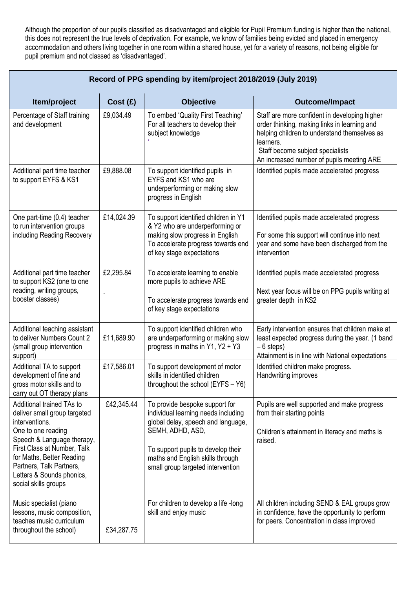Although the proportion of our pupils classified as disadvantaged and eligible for Pupil Premium funding is higher than the national, this does not represent the true levels of deprivation. For example, we know of families being evicted and placed in emergency accommodation and others living together in one room within a shared house, yet for a variety of reasons, not being eligible for pupil premium and not classed as 'disadvantaged'.

| Record of PPG spending by item/project 2018/2019 (July 2019)                                                                                                                                                                                                                 |            |                                                                                                                                                                                                                                                |                                                                                                                                                                                                                                             |  |  |  |
|------------------------------------------------------------------------------------------------------------------------------------------------------------------------------------------------------------------------------------------------------------------------------|------------|------------------------------------------------------------------------------------------------------------------------------------------------------------------------------------------------------------------------------------------------|---------------------------------------------------------------------------------------------------------------------------------------------------------------------------------------------------------------------------------------------|--|--|--|
| Item/project                                                                                                                                                                                                                                                                 | Cost (£)   | <b>Objective</b>                                                                                                                                                                                                                               | <b>Outcome/Impact</b>                                                                                                                                                                                                                       |  |  |  |
| Percentage of Staff training<br>and development                                                                                                                                                                                                                              | £9,034.49  | To embed 'Quality First Teaching'<br>For all teachers to develop their<br>subject knowledge                                                                                                                                                    | Staff are more confident in developing higher<br>order thinking, making links in learning and<br>helping children to understand themselves as<br>learners.<br>Staff become subject specialists<br>An increased number of pupils meeting ARE |  |  |  |
| Additional part time teacher<br>to support EYFS & KS1                                                                                                                                                                                                                        | £9,888.08  | To support identified pupils in<br>EYFS and KS1 who are<br>underperforming or making slow<br>progress in English                                                                                                                               | Identified pupils made accelerated progress                                                                                                                                                                                                 |  |  |  |
| One part-time (0.4) teacher<br>to run intervention groups<br>including Reading Recovery                                                                                                                                                                                      | £14,024.39 | To support identified children in Y1<br>& Y2 who are underperforming or<br>making slow progress in English<br>To accelerate progress towards end<br>of key stage expectations                                                                  | Identified pupils made accelerated progress<br>For some this support will continue into next<br>year and some have been discharged from the<br>intervention                                                                                 |  |  |  |
| Additional part time teacher<br>to support KS2 (one to one<br>reading, writing groups,<br>booster classes)                                                                                                                                                                   | £2,295.84  | To accelerate learning to enable<br>more pupils to achieve ARE<br>To accelerate progress towards end<br>of key stage expectations                                                                                                              | Identified pupils made accelerated progress<br>Next year focus will be on PPG pupils writing at<br>greater depth in KS2                                                                                                                     |  |  |  |
| Additional teaching assistant<br>to deliver Numbers Count 2<br>(small group intervention<br>support)                                                                                                                                                                         | £11,689.90 | To support identified children who<br>are underperforming or making slow<br>progress in maths in Y1, Y2 + Y3                                                                                                                                   | Early intervention ensures that children make at<br>least expected progress during the year. (1 band<br>$-6$ steps)<br>Attainment is in line with National expectations                                                                     |  |  |  |
| Additional TA to support<br>development of fine and<br>gross motor skills and to<br>carry out OT therapy plans                                                                                                                                                               | £17,586.01 | To support development of motor<br>skills in identified children<br>throughout the school (EYFS - Y6)                                                                                                                                          | Identified children make progress.<br>Handwriting improves                                                                                                                                                                                  |  |  |  |
| Additional trained TAs to<br>deliver small group targeted<br>interventions.<br>One to one reading<br>Speech & Language therapy,<br>First Class at Number, Talk<br>for Maths, Better Reading<br>Partners, Talk Partners,<br>Letters & Sounds phonics,<br>social skills groups | £42,345.44 | To provide bespoke support for<br>individual learning needs including<br>global delay, speech and language,<br>SEMH, ADHD, ASD,<br>To support pupils to develop their<br>maths and English skills through<br>small group targeted intervention | Pupils are well supported and make progress<br>from their starting points<br>Children's attainment in literacy and maths is<br>raised.                                                                                                      |  |  |  |
| Music specialist (piano<br>lessons, music composition,<br>teaches music curriculum<br>throughout the school)                                                                                                                                                                 | £34,287.75 | For children to develop a life -long<br>skill and enjoy music                                                                                                                                                                                  | All children including SEND & EAL groups grow<br>in confidence, have the opportunity to perform<br>for peers. Concentration in class improved                                                                                               |  |  |  |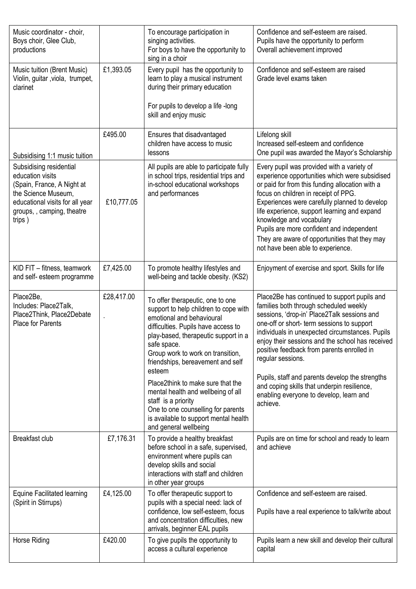| Music coordinator - choir,<br>Boys choir, Glee Club,<br>productions                                                                                                                                         |            | To encourage participation in<br>singing activities.<br>For boys to have the opportunity to<br>sing in a choir                                                                                                                                                                           | Confidence and self-esteem are raised.<br>Pupils have the opportunity to perform<br>Overall achievement improved                                                                                                                                                                                                                                                                                                                                        |
|-------------------------------------------------------------------------------------------------------------------------------------------------------------------------------------------------------------|------------|------------------------------------------------------------------------------------------------------------------------------------------------------------------------------------------------------------------------------------------------------------------------------------------|---------------------------------------------------------------------------------------------------------------------------------------------------------------------------------------------------------------------------------------------------------------------------------------------------------------------------------------------------------------------------------------------------------------------------------------------------------|
| Music tuition (Brent Music)<br>Violin, guitar, viola, trumpet,<br>clarinet                                                                                                                                  | £1,393.05  | Every pupil has the opportunity to<br>learn to play a musical instrument<br>during their primary education<br>For pupils to develop a life -long<br>skill and enjoy music                                                                                                                | Confidence and self-esteem are raised<br>Grade level exams taken                                                                                                                                                                                                                                                                                                                                                                                        |
|                                                                                                                                                                                                             | £495.00    | Ensures that disadvantaged<br>children have access to music<br>lessons                                                                                                                                                                                                                   | Lifelong skill<br>Increased self-esteem and confidence<br>One pupil was awarded the Mayor's Scholarship                                                                                                                                                                                                                                                                                                                                                 |
| Subsidising 1:1 music tuition<br>Subsidising residential<br>education visits<br>(Spain, France, A Night at<br>the Science Museum,<br>educational visits for all year<br>groups,, camping, theatre<br>trips) | £10,777.05 | All pupils are able to participate fully<br>in school trips, residential trips and<br>in-school educational workshops<br>and performances                                                                                                                                                | Every pupil was provided with a variety of<br>experience opportunities which were subsidised<br>or paid for from this funding allocation with a<br>focus on children in receipt of PPG.<br>Experiences were carefully planned to develop<br>life experience, support learning and expand<br>knowledge and vocabulary<br>Pupils are more confident and independent<br>They are aware of opportunities that they may<br>not have been able to experience. |
| KID FIT - fitness, teamwork<br>and self- esteem programme                                                                                                                                                   | £7,425.00  | To promote healthy lifestyles and<br>well-being and tackle obesity. (KS2)                                                                                                                                                                                                                | Enjoyment of exercise and sport. Skills for life                                                                                                                                                                                                                                                                                                                                                                                                        |
| Place2Be,<br>Includes: Place2Talk,<br>Place2Think, Place2Debate<br><b>Place for Parents</b>                                                                                                                 | £28,417.00 | To offer therapeutic, one to one<br>support to help children to cope with<br>emotional and behavioural<br>difficulties. Pupils have access to<br>play-based, therapeutic support in a<br>safe space.<br>Group work to work on transition,<br>friendships, bereavement and self<br>esteem | Place2Be has continued to support pupils and<br>families both through scheduled weekly<br>sessions, 'drop-in' Place2Talk sessions and<br>one-off or short- term sessions to support<br>individuals in unexpected circumstances. Pupils<br>enjoy their sessions and the school has received<br>positive feedback from parents enrolled in<br>regular sessions.                                                                                           |
|                                                                                                                                                                                                             |            | Place2think to make sure that the<br>mental health and wellbeing of all<br>staff is a priority<br>One to one counselling for parents<br>is available to support mental health<br>and general wellbeing                                                                                   | Pupils, staff and parents develop the strengths<br>and coping skills that underpin resilience,<br>enabling everyone to develop, learn and<br>achieve.                                                                                                                                                                                                                                                                                                   |
| Breakfast club                                                                                                                                                                                              | £7,176.31  | To provide a healthy breakfast<br>before school in a safe, supervised,<br>environment where pupils can<br>develop skills and social<br>interactions with staff and children<br>in other year groups                                                                                      | Pupils are on time for school and ready to learn<br>and achieve                                                                                                                                                                                                                                                                                                                                                                                         |
| <b>Equine Facilitated learning</b><br>(Spirit in Stirrups)                                                                                                                                                  | £4,125.00  | To offer therapeutic support to<br>pupils with a special need: lack of<br>confidence, low self-esteem, focus<br>and concentration difficulties, new<br>arrivals, beginner EAL pupils                                                                                                     | Confidence and self-esteem are raised.<br>Pupils have a real experience to talk/write about                                                                                                                                                                                                                                                                                                                                                             |
| Horse Riding                                                                                                                                                                                                | £420.00    | To give pupils the opportunity to<br>access a cultural experience                                                                                                                                                                                                                        | Pupils learn a new skill and develop their cultural<br>capital                                                                                                                                                                                                                                                                                                                                                                                          |